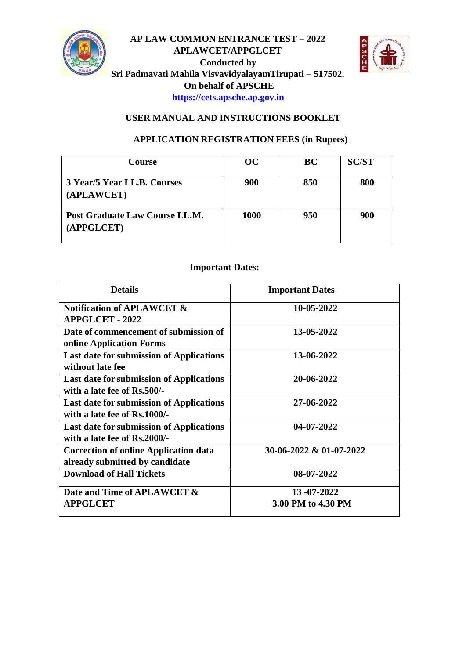

## **AP LAW COMMON ENTRANCE TEST – 2022 APLAWCET/APPGLCET Conducted by Sri Padmavati Mahila VisvavidyalayamTirupati – 517502. On behalf of APSCHE [https://cets.apsche.ap.gov.in](https://cets.apsche.ap.gov.in/)**



# **USER MANUAL AND INSTRUCTIONS BOOKLET**

### **APPLICATION REGISTRATION FEES (in Rupees)**

| <b>Course</b>                                | OC.  | <b>BC</b> | <b>SC/ST</b> |
|----------------------------------------------|------|-----------|--------------|
| 3 Year/5 Year LL.B. Courses<br>(APLAWCET)    | 900  | 850       | 800          |
| Post Graduate Law Course LL.M.<br>(APPGLCET) | 1000 | 950       | 900          |

#### **Important Dates:**

| <b>Details</b>                                  | <b>Important Dates</b>  |
|-------------------------------------------------|-------------------------|
| <b>Notification of APLAWCET &amp;</b>           | 10-05-2022              |
| <b>APPGLCET - 2022</b>                          |                         |
| Date of commencement of submission of           | 13-05-2022              |
| online Application Forms                        |                         |
| <b>Last date for submission of Applications</b> | 13-06-2022              |
| without late fee                                |                         |
| <b>Last date for submission of Applications</b> | 20-06-2022              |
| with a late fee of Rs.500/-                     |                         |
| <b>Last date for submission of Applications</b> | 27-06-2022              |
| with a late fee of Rs.1000/-                    |                         |
| <b>Last date for submission of Applications</b> | $04 - 07 - 2022$        |
| with a late fee of Rs.2000/-                    |                         |
| <b>Correction of online Application data</b>    | 30-06-2022 & 01-07-2022 |
| already submitted by candidate                  |                         |
| <b>Download of Hall Tickets</b>                 | 08-07-2022              |
|                                                 |                         |
| Date and Time of APLAWCET &                     | 13-07-2022              |
| <b>APPGLCET</b>                                 | 3.00 PM to 4.30 PM      |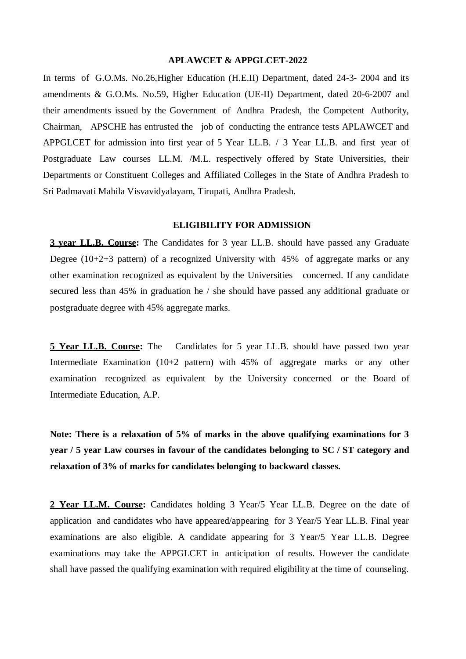#### **APLAWCET & APPGLCET-2022**

In terms of G.O.Ms. No.26, Higher Education (H.E.II) Department, dated 24-3- 2004 and its amendments & G.O.Ms. No.59, Higher Education (UE-II) Department, dated 20-6-2007 and their amendments issued by the Government of Andhra Pradesh, the Competent Authority, Chairman, APSCHE has entrusted the job of conducting the entrance tests APLAWCET and APPGLCET for admission into first year of 5 Year LL.B. / 3 Year LL.B. and first year of Postgraduate Law courses LL.M. /M.L. respectively offered by State Universities, their Departments or Constituent Colleges and Affiliated Colleges in the State of Andhra Pradesh to Sri Padmavati Mahila Visvavidyalayam, Tirupati, Andhra Pradesh.

#### **ELIGIBILITY FOR ADMISSION**

**3 year LL.B. Course:** The Candidates for 3 year LL.B. should have passed any Graduate Degree  $(10+2+3)$  pattern) of a recognized University with 45% of aggregate marks or any other examination recognized as equivalent by the Universities concerned. If any candidate secured less than 45% in graduation he / she should have passed any additional graduate or postgraduate degree with 45% aggregate marks.

**5 Year LL.B. Course:** The Candidates for 5 year LL.B. should have passed two year Intermediate Examination (10+2 pattern) with 45% of aggregate marks or any other examination recognized as equivalent by the University concerned or the Board of Intermediate Education, A.P.

**Note: There is a relaxation of 5% of marks in the above qualifying examinations for 3 year / 5 year Law courses in favour of the candidates belonging to SC / ST category and relaxation of 3% of marks for candidates belonging to backward classes.**

**2 Year LL.M. Course:** Candidates holding 3 Year/5 Year LL.B. Degree on the date of application and candidates who have appeared/appearing for 3 Year/5 Year LL.B. Final year examinations are also eligible. A candidate appearing for 3 Year/5 Year LL.B. Degree examinations may take the APPGLCET in anticipation of results. However the candidate shall have passed the qualifying examination with required eligibility at the time of counseling.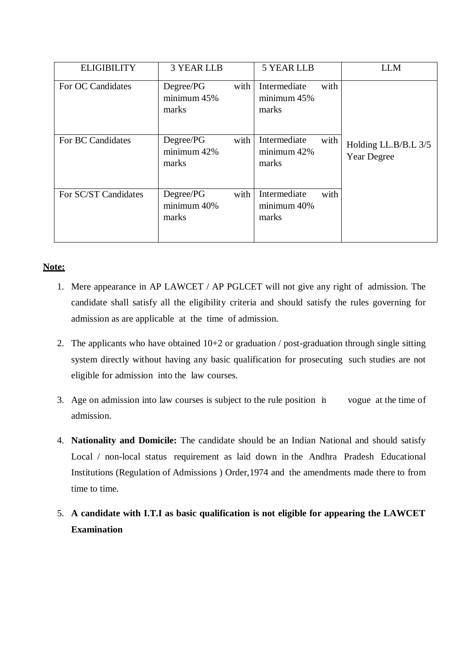| <b>ELIGIBILITY</b>   | <b>3 YEAR LLB</b>                 |      | <b>5 YEAR LLB</b>                    |      | <b>LLM</b>                                 |
|----------------------|-----------------------------------|------|--------------------------------------|------|--------------------------------------------|
| For OC Candidates    | Degree/PG<br>minimum 45%<br>marks | with | Intermediate<br>minimum 45%<br>marks | with |                                            |
| For BC Candidates    | Degree/PG<br>minimum 42%<br>marks | with | Intermediate<br>minimum 42%<br>marks | with | Holding LL.B/B.L 3/5<br><b>Year Degree</b> |
| For SC/ST Candidates | Degree/PG<br>minimum 40%<br>marks | with | Intermediate<br>minimum 40%<br>marks | with |                                            |

## **Note:**

- 1. Mere appearance in AP LAWCET / AP PGLCET will not give any right of admission. The candidate shall satisfy all the eligibility criteria and should satisfy the rules governing for admission as are applicable at the time of admission.
- 2. The applicants who have obtained 10+2 or graduation / post-graduation through single sitting system directly without having any basic qualification for prosecuting such studies are not eligible for admission into the law courses.
- 3. Age on admission into law courses is subject to the rule position in vogue at the time of admission.
- 4. **Nationality and Domicile:** The candidate should be an Indian National and should satisfy Local / non-local status requirement as laid down in the Andhra Pradesh Educational Institutions (Regulation of Admissions ) Order,1974 and the amendments made there to from time to time.
- 5. **A candidate with I.T.I as basic qualification is not eligible for appearing the LAWCET Examination**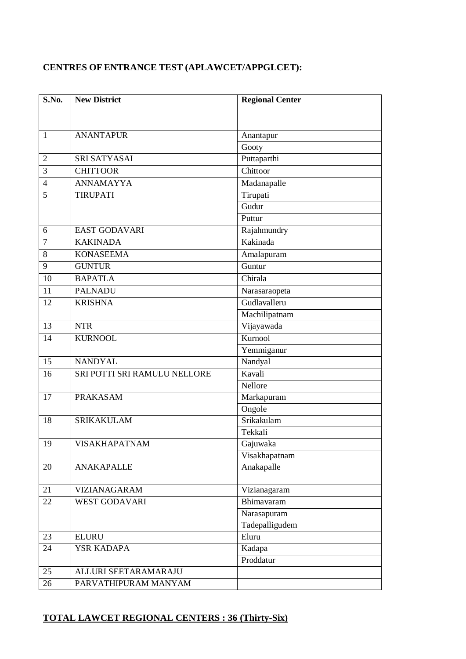# **CENTRES OF ENTRANCE TEST (APLAWCET/APPGLCET):**

| S.No.          | <b>New District</b>          | <b>Regional Center</b> |  |
|----------------|------------------------------|------------------------|--|
|                |                              |                        |  |
| $\mathbf{1}$   | <b>ANANTAPUR</b>             | Anantapur              |  |
|                |                              | Gooty                  |  |
| 2              | <b>SRI SATYASAI</b>          | Puttaparthi            |  |
| 3              | <b>CHITTOOR</b>              | Chittoor               |  |
| $\overline{4}$ | <b>ANNAMAYYA</b>             | Madanapalle            |  |
| 5              | <b>TIRUPATI</b>              | Tirupati               |  |
|                |                              | Gudur                  |  |
|                |                              | Puttur                 |  |
| 6              | <b>EAST GODAVARI</b>         | Rajahmundry            |  |
| $\overline{7}$ | <b>KAKINADA</b>              | Kakinada               |  |
| 8              | <b>KONASEEMA</b>             | Amalapuram             |  |
| 9              | <b>GUNTUR</b>                | Guntur                 |  |
| 10             | <b>BAPATLA</b>               | Chirala                |  |
| 11             | <b>PALNADU</b>               | Narasaraopeta          |  |
| 12             | <b>KRISHNA</b>               | Gudlavalleru           |  |
|                |                              | Machilipatnam          |  |
| 13             | <b>NTR</b>                   | Vijayawada             |  |
| 14             | <b>KURNOOL</b>               | Kurnool                |  |
|                |                              | Yemmiganur             |  |
| 15             | <b>NANDYAL</b>               | Nandyal                |  |
| 16             | SRI POTTI SRI RAMULU NELLORE | Kavali                 |  |
|                |                              | Nellore                |  |
| 17             | <b>PRAKASAM</b>              | Markapuram             |  |
|                |                              | Ongole                 |  |
| 18             | <b>SRIKAKULAM</b>            | Srikakulam             |  |
|                |                              | Tekkali                |  |
| 19             | <b>VISAKHAPATNAM</b>         | Gajuwaka               |  |
|                |                              | Visakhapatnam          |  |
| 20             | <b>ANAKAPALLE</b>            | Anakapalle             |  |
| 21             | <b>VIZIANAGARAM</b>          | Vizianagaram           |  |
| 22             | <b>WEST GODAVARI</b>         | Bhimavaram             |  |
|                |                              | Narasapuram            |  |
|                |                              | Tadepalligudem         |  |
| 23             | <b>ELURU</b>                 | Eluru                  |  |
| 24             | <b>YSR KADAPA</b>            | Kadapa                 |  |
|                |                              | Proddatur              |  |
| 25             | ALLURI SEETARAMARAJU         |                        |  |
| 26             | PARVATHIPURAM MANYAM         |                        |  |

# **TOTAL LAWCET REGIONAL CENTERS : 36 (Thirty-Six)**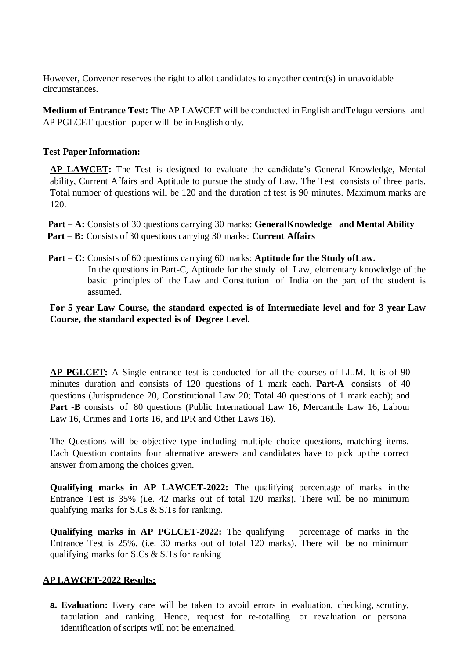However, Convener reserves the right to allot candidates to anyother centre(s) in unavoidable circumstances.

**Medium of Entrance Test:** The AP LAWCET will be conducted in English andTelugu versions and AP PGLCET question paper will be in English only.

#### **Test Paper Information:**

**AP LAWCET:** The Test is designed to evaluate the candidate's General Knowledge, Mental ability, Current Affairs and Aptitude to pursue the study of Law. The Test consists of three parts. Total number of questions will be 120 and the duration of test is 90 minutes. Maximum marks are 120.

 **Part – A:** Consists of 30 questions carrying 30 marks: **GeneralKnowledge and Mental Ability Part – B:** Consists of 30 questions carrying 30 marks: **Current Affairs**

 **Part – C:** Consists of 60 questions carrying 60 marks: **Aptitude for the Study ofLaw.** In the questions in Part-C, Aptitude for the study of Law, elementary knowledge of the basic principles of the Law and Constitution of India on the part of the student is assumed.

**For 5 year Law Course, the standard expected is of Intermediate level and for 3 year Law Course, the standard expected is of Degree Level.**

**AP PGLCET:** A Single entrance test is conducted for all the courses of LL.M. It is of 90 minutes duration and consists of 120 questions of 1 mark each. **Part-A** consists of 40 questions (Jurisprudence 20, Constitutional Law 20; Total 40 questions of 1 mark each); and Part -B consists of 80 questions (Public International Law 16, Mercantile Law 16, Labour Law 16, Crimes and Torts 16, and IPR and Other Laws 16).

The Questions will be objective type including multiple choice questions, matching items. Each Question contains four alternative answers and candidates have to pick up the correct answer from among the choices given.

**Qualifying marks in AP LAWCET-2022:** The qualifying percentage of marks in the Entrance Test is 35% (i.e. 42 marks out of total 120 marks). There will be no minimum qualifying marks for S.Cs & S.Ts for ranking.

**Qualifying marks in AP PGLCET-2022:** The qualifying percentage of marks in the Entrance Test is 25%. (i.e. 30 marks out of total 120 marks). There will be no minimum qualifying marks for S.Cs & S.Ts for ranking

#### **AP LAWCET-2022 Results:**

**a. Evaluation:** Every care will be taken to avoid errors in evaluation, checking, scrutiny, tabulation and ranking. Hence, request for re-totalling or revaluation or personal identification of scripts will not be entertained.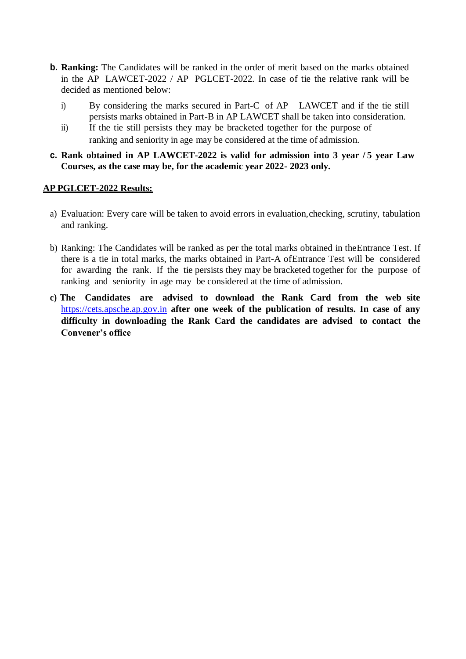- **b. Ranking:** The Candidates will be ranked in the order of merit based on the marks obtained in the AP LAWCET-2022 / AP PGLCET-2022. In case of tie the relative rank will be decided as mentioned below:
	- i) By considering the marks secured in Part-C of AP LAWCET and if the tie still persists marks obtained in Part-B in AP LAWCET shall be taken into consideration.
	- ii) If the tie still persists they may be bracketed together for the purpose of ranking and seniority in age may be considered at the time of admission.
- **c. Rank obtained in AP LAWCET-2022 is valid for admission into 3 year / 5 year Law Courses, as the case may be, for the academic year 2022- 2023 only.**

#### **AP PGLCET-2022 Results:**

- a) Evaluation: Every care will be taken to avoid errors in evaluation,checking, scrutiny, tabulation and ranking.
- b) Ranking: The Candidates will be ranked as per the total marks obtained in theEntrance Test. If there is a tie in total marks, the marks obtained in Part-A ofEntrance Test will be considered for awarding the rank. If the tie persists they may be bracketed together for the purpose of ranking and seniority in age may be considered at the time of admission.
- **c) The Candidates are advised to download the Rank Card from the web site** [https://cets.apsche.ap.gov.in](https://cets.apsche.ap.gov.in/) **after one week of the publication of results. In case of any difficulty in downloading the Rank Card the candidates are advised to contact the Convener's office**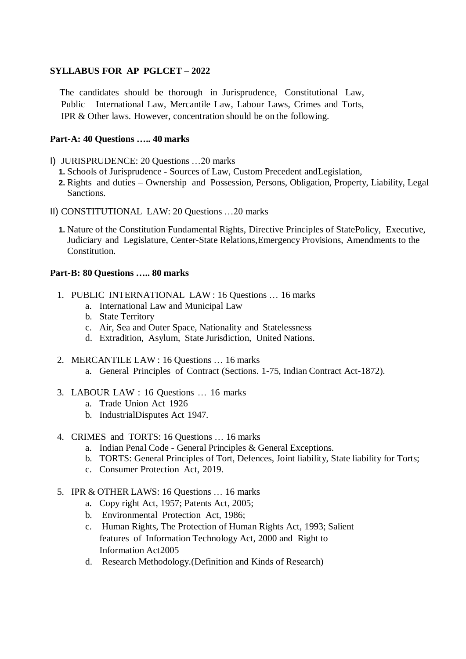#### **SYLLABUS FOR AP PGLCET – 2022**

The candidates should be thorough in Jurisprudence, Constitutional Law, Public International Law, Mercantile Law, Labour Laws, Crimes and Torts, IPR & Other laws. However, concentration should be on the following.

#### **Part-A: 40 Questions ….. 40 marks**

- I) JURISPRUDENCE: 20 Questions …20 marks
	- **1.** Schools of Jurisprudence Sources of Law, Custom Precedent andLegislation,
	- **2.** Rights and duties Ownership and Possession, Persons, Obligation, Property, Liability, Legal Sanctions.
- II) CONSTITUTIONAL LAW: 20 Questions …20 marks
	- **1.** Nature of the Constitution Fundamental Rights, Directive Principles of StatePolicy, Executive, Judiciary and Legislature, Center-State Relations,Emergency Provisions, Amendments to the Constitution.

#### **Part-B: 80 Questions ….. 80 marks**

- 1. PUBLIC INTERNATIONAL LAW : 16 Questions … 16 marks
	- a. International Law and Municipal Law
	- b. State Territory
	- c. Air, Sea and Outer Space, Nationality and Statelessness
	- d. Extradition, Asylum, State Jurisdiction, United Nations.
- 2. MERCANTILE LAW : 16 Questions … 16 marks a. General Principles of Contract (Sections. 1-75, Indian Contract Act-1872).
- 3. LABOUR LAW : 16 Questions … 16 marks
	- a. Trade Union Act 1926
	- b. IndustrialDisputes Act 1947.
- 4. CRIMES and TORTS: 16 Questions … 16 marks
	- a. Indian Penal Code General Principles & General Exceptions.
	- b. TORTS: General Principles of Tort, Defences, Joint liability, State liability for Torts;
	- c. Consumer Protection Act, 2019.
- 5. IPR & OTHER LAWS: 16 Questions … 16 marks
	- a. Copy right Act, 1957; Patents Act, 2005;
	- b. Environmental Protection Act, 1986;
	- c. Human Rights, The Protection of Human Rights Act, 1993; Salient features of Information Technology Act, 2000 and Right to Information Act2005
	- d. Research Methodology.(Definition and Kinds of Research)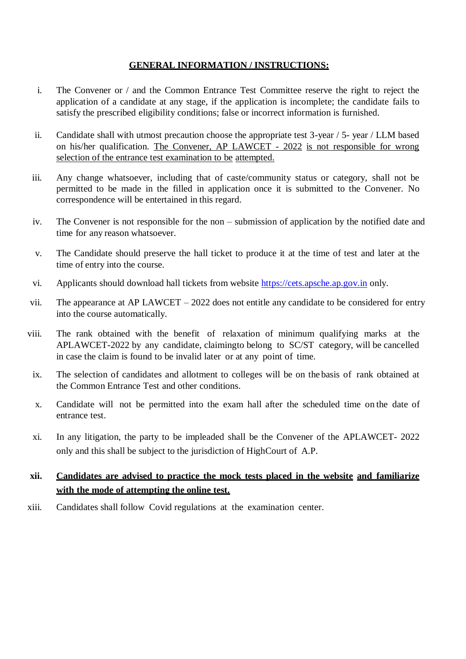#### **GENERAL INFORMATION / INSTRUCTIONS:**

- i. The Convener or / and the Common Entrance Test Committee reserve the right to reject the application of a candidate at any stage, if the application is incomplete; the candidate fails to satisfy the prescribed eligibility conditions; false or incorrect information is furnished.
- ii. Candidate shall with utmost precaution choose the appropriate test 3-year / 5- year / LLM based on his/her qualification. The Convener, AP LAWCET - 2022 is not responsible for wrong selection of the entrance test examination to be attempted.
- iii. Any change whatsoever, including that of caste/community status or category, shall not be permitted to be made in the filled in application once it is submitted to the Convener. No correspondence will be entertained in this regard.
- iv. The Convener is not responsible for the non submission of application by the notified date and time for any reason whatsoever.
- v. The Candidate should preserve the hall ticket to produce it at the time of test and later at the time of entry into the course.
- vi. Applicants should download hall tickets from website [https://cets.apsche.ap.gov.in](https://cets.apsche.ap.gov.in/) only.
- vii. The appearance at AP LAWCET 2022 does not entitle any candidate to be considered for entry into the course automatically.
- viii. The rank obtained with the benefit of relaxation of minimum qualifying marks at the APLAWCET-2022 by any candidate, claimingto belong to SC/ST category, will be cancelled in case the claim is found to be invalid later or at any point of time.
- ix. The selection of candidates and allotment to colleges will be on the basis of rank obtained at the Common Entrance Test and other conditions.
- x. Candidate will not be permitted into the exam hall after the scheduled time on the date of entrance test.
- xi. In any litigation, the party to be impleaded shall be the Convener of the APLAWCET- 2022 only and this shall be subject to the jurisdiction of HighCourt of A.P.

# **xii. Candidates are advised to practice the mock tests placed in the website and familiarize with the mode of attempting the online test.**

xiii. Candidates shall follow Covid regulations at the examination center.